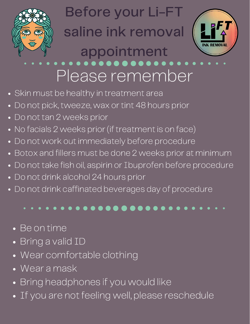

#### Before your Li-FT

### saline ink removal



### appointment

# Please remember

- Skin must be healthy in treatment area
- Do not pick, tweeze, wax or tint 48 hours prior  $\bullet$
- Do not tan 2 weeks prior
- No facials 2 weeks prior (if treatment is on face)
- Do not work out immediately before procedure  $\bullet$
- Botox and fillers must be done 2 weeks prior at minimum  $\bullet$
- Do not take fish oil, aspirin or Ibuprofen before procedure  $\bullet$
- Do not drink alcohol 24 hours prior  $\bullet$
- Do not drink caffinated beverages day of procedure

#### . . . . . **. . . . . . . . . .** . . . .

- Be on time
- Bring a valid ID
- Wear comfortable clothing
- Wear a mask
- Bring headphones if you would like
- If you are not feeling well, please reschedule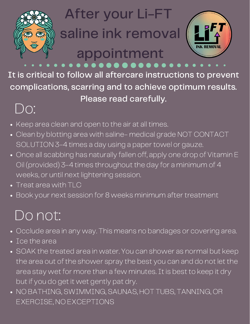

 $\bullet\quad\bullet\quad\bullet\quad$ 

## After your Li-FT

## saline ink removal

# appointment



It is critical to follow all aftercare instructions to prevent complications, scarring and to achieve optimum results. Please read carefully.

#### Do:

- Keep area clean and open to the air at all times.
- Clean by blotting area with saline- medical grade NOT CONTACT SOLUTION 3-4 times a day using a paper towel or gauze.
- Once all scabbing has naturally fallen off, apply one drop of Vitamin E Oil (provided) 3-4 times throughout the day for a minimum of 4 weeks, or until next lightening session.
- Treat area with TLC
- Book your next session for 8 weeks minimum after treatment

#### Do not:

- Occlude area in any way. This means no bandages or covering area.
- Ice the area
- SOAK the treated area in water. You can shower as normal but keep the area out of the shower spray the best you can and do not let the area stay wet for more than a few minutes. It is best to keep it dry but if you do get it wet gently pat dry.
- NO BATHING, SWIMMING, SAUNAS, HOT TUBS, TANNING, OR EXERCISE, NO EXCEPTIONS